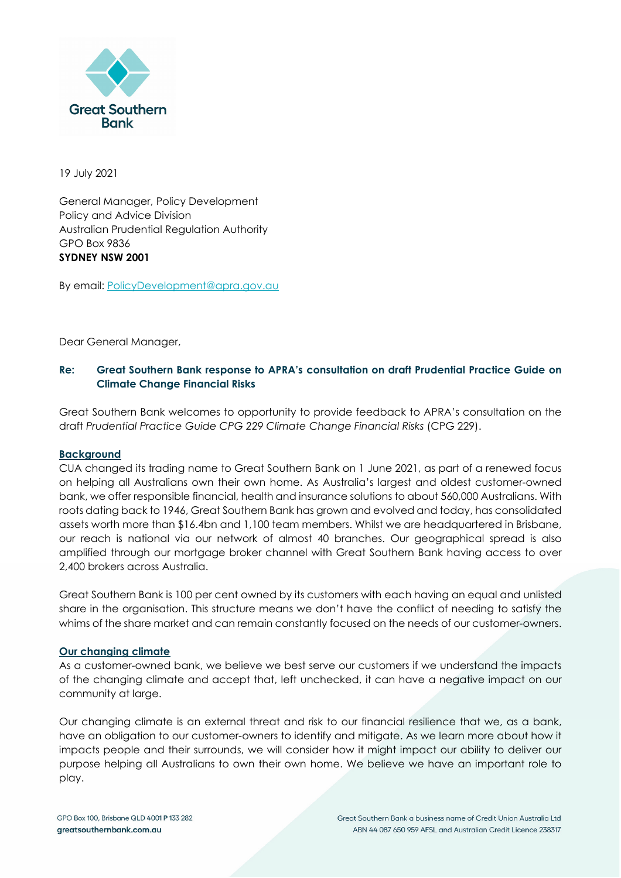

19 July 2021

General Manager, Policy Development Policy and Advice Division Australian Prudential Regulation Authority GPO Box 9836 **SYDNEY NSW 2001** 

By email: PolicyDevelopment@apra.gov.au

Dear General Manager,

# **Re: Great Southern Bank response to APRA's consultation on draft Prudential Practice Guide on Climate Change Financial Risks**

Great Southern Bank welcomes to opportunity to provide feedback to APRA's consultation on the draft *Prudential Practice Guide CPG 229 Climate Change Financial Risks* (CPG 229).

## **Background**

CUA changed its trading name to Great Southern Bank on 1 June 2021, as part of a renewed focus on helping all Australians own their own home. As Australia's largest and oldest customer-owned bank, we offer responsible financial, health and insurance solutions to about 560,000 Australians. With roots dating back to 1946, Great Southern Bank has grown and evolved and today, has consolidated assets worth more than \$16.4bn and 1,100 team members. Whilst we are headquartered in Brisbane, our reach is national via our network of almost 40 branches. Our geographical spread is also amplified through our mortgage broker channel with Great Southern Bank having access to over 2,400 brokers across Australia.

Great Southern Bank is 100 per cent owned by its customers with each having an equal and unlisted share in the organisation. This structure means we don't have the conflict of needing to satisfy the whims of the share market and can remain constantly focused on the needs of our customer-owners.

## **Our changing climate**

As a customer-owned bank, we believe we best serve our customers if we understand the impacts of the changing climate and accept that, left unchecked, it can have a negative impact on our community at large.

Our changing climate is an external threat and risk to our financial resilience that we, as a bank, have an obligation to our customer-owners to identify and mitigate. As we learn more about how it impacts people and their surrounds, we will consider how it might impact our ability to deliver our purpose helping all Australians to own their own home. We believe we have an important role to play.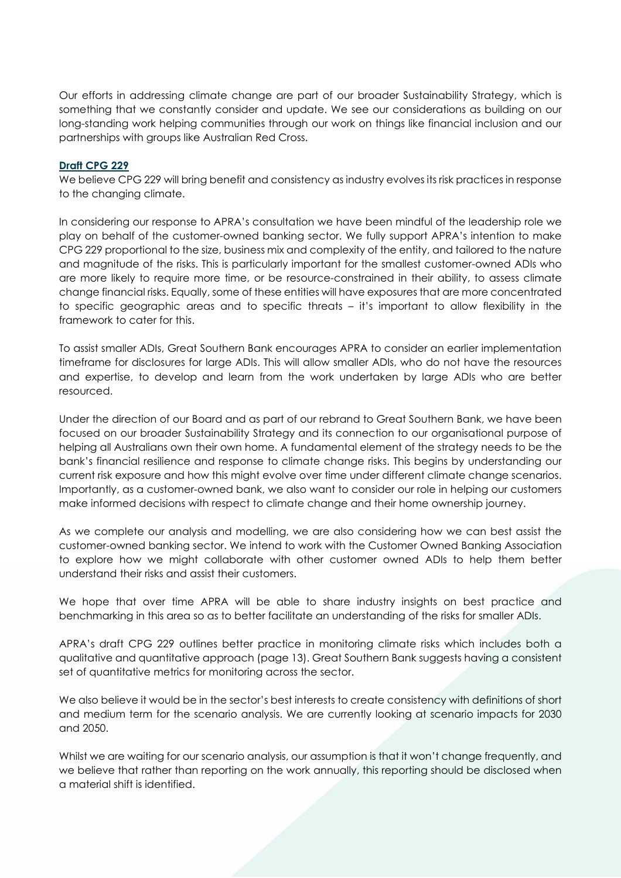Our efforts in addressing climate change are part of our broader Sustainability Strategy, which is something that we constantly consider and update. We see our considerations as building on our long-standing work helping communities through our work on things like financial inclusion and our partnerships with groups like Australian Red Cross.

### **Draft CPG 229**

We believe CPG 229 will bring benefit and consistency as industry evolves its risk practices in response to the changing climate.

In considering our response to APRA's consultation we have been mindful of the leadership role we play on behalf of the customer-owned banking sector. We fully support APRA's intention to make CPG 229 proportional to the size, business mix and complexity of the entity, and tailored to the nature and magnitude of the risks. This is particularly important for the smallest customer-owned ADIs who are more likely to require more time, or be resource-constrained in their ability, to assess climate change financial risks. Equally, some of these entities will have exposures that are more concentrated to specific geographic areas and to specific threats – it's important to allow flexibility in the framework to cater for this.

To assist smaller ADIs, Great Southern Bank encourages APRA to consider an earlier implementation timeframe for disclosures for large ADIs. This will allow smaller ADIs, who do not have the resources and expertise, to develop and learn from the work undertaken by large ADIs who are better resourced.

Under the direction of our Board and as part of our rebrand to Great Southern Bank, we have been focused on our broader Sustainability Strategy and its connection to our organisational purpose of helping all Australians own their own home. A fundamental element of the strategy needs to be the bank's financial resilience and response to climate change risks. This begins by understanding our current risk exposure and how this might evolve over time under different climate change scenarios. Importantly, as a customer-owned bank, we also want to consider our role in helping our customers make informed decisions with respect to climate change and their home ownership journey.

As we complete our analysis and modelling, we are also considering how we can best assist the customer-owned banking sector. We intend to work with the Customer Owned Banking Association to explore how we might collaborate with other customer owned ADIs to help them better understand their risks and assist their customers.

We hope that over time APRA will be able to share industry insights on best practice and benchmarking in this area so as to better facilitate an understanding of the risks for smaller ADIs.

APRA's draft CPG 229 outlines better practice in monitoring climate risks which includes both a qualitative and quantitative approach (page 13). Great Southern Bank suggests having a consistent set of quantitative metrics for monitoring across the sector.

We also believe it would be in the sector's best interests to create consistency with definitions of short and medium term for the scenario analysis. We are currently looking at scenario impacts for 2030 and 2050.

Whilst we are waiting for our scenario analysis, our assumption is that it won't change frequently, and we believe that rather than reporting on the work annually, this reporting should be disclosed when a material shift is identified.